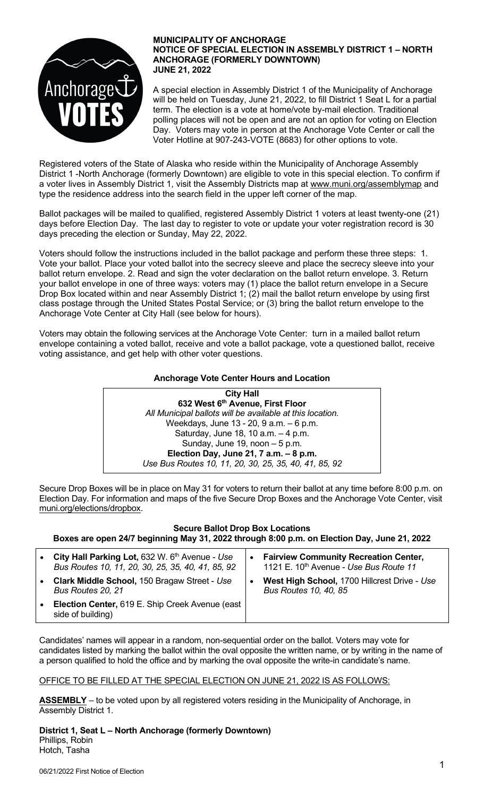

#### **MUNICIPALITY OF ANCHORAGE NOTICE OF SPECIAL ELECTION IN ASSEMBLY DISTRICT 1 – NORTH ANCHORAGE (FORMERLY DOWNTOWN) JUNE 21, 2022**

A special election in Assembly District 1 of the Municipality of Anchorage will be held on Tuesday, June 21, 2022, to fill District 1 Seat L for a partial term. The election is a vote at home/vote by-mail election. Traditional polling places will not be open and are not an option for voting on Election Day. Voters may vote in person at the Anchorage Vote Center or call the Voter Hotline at 907-243-VOTE (8683) for other options to vote.

Registered voters of the State of Alaska who reside within the Municipality of Anchorage Assembly District 1 -North Anchorage (formerly Downtown) are eligible to vote in this special election. To confirm if a voter lives in Assembly District 1, visit the Assembly Districts map at [www.muni.org/assemblymap](http://www.muni.org/assemblymap) and type the residence address into the search field in the upper left corner of the map.

Ballot packages will be mailed to qualified, registered Assembly District 1 voters at least twenty-one (21) days before Election Day. The last day to register to vote or update your voter registration record is 30 days preceding the election or Sunday, May 22, 2022.

Voters should follow the instructions included in the ballot package and perform these three steps: 1. Vote your ballot. Place your voted ballot into the secrecy sleeve and place the secrecy sleeve into your ballot return envelope. 2. Read and sign the voter declaration on the ballot return envelope. 3. Return your ballot envelope in one of three ways: voters may (1) place the ballot return envelope in a Secure Drop Box located within and near Assembly District 1; (2) mail the ballot return envelope by using first class postage through the United States Postal Service; or (3) bring the ballot return envelope to the Anchorage Vote Center at City Hall (see below for hours).

Voters may obtain the following services at the Anchorage Vote Center: turn in a mailed ballot return envelope containing a voted ballot, receive and vote a ballot package, vote a questioned ballot, receive voting assistance, and get help with other voter questions.

## **Anchorage Vote Center Hours and Location**



Secure Drop Boxes will be in place on May 31 for voters to return their ballot at any time before 8:00 p.m. on Election Day. For information and maps of the five Secure Drop Boxes and the Anchorage Vote Center, visit muni.org/elections/dropbox.

# **Secure Ballot Drop Box Locations**

**Boxes are open 24/7 beginning May 31, 2022 through 8:00 p.m. on Election Day, June 21, 2022**

| $\bullet$ | City Hall Parking Lot, 632 W. 6th Avenue - Use<br>Bus Routes 10, 11, 20, 30, 25, 35, 40, 41, 85, 92 | $\bullet$ | <b>Fairview Community Recreation Center,</b><br>1121 E. 10th Avenue - Use Bus Route 11 |
|-----------|-----------------------------------------------------------------------------------------------------|-----------|----------------------------------------------------------------------------------------|
| $\bullet$ | Clark Middle School, 150 Bragaw Street - Use<br>Bus Routes 20, 21                                   |           | West High School, 1700 Hillcrest Drive - Use<br><b>Bus Routes 10, 40, 85</b>           |
| $\bullet$ | <b>Election Center, 619 E. Ship Creek Avenue (east)</b><br>side of building)                        |           |                                                                                        |

Candidates' names will appear in a random, non-sequential order on the ballot. Voters may vote for candidates listed by marking the ballot within the oval opposite the written name, or by writing in the name of a person qualified to hold the office and by marking the oval opposite the write-in candidate's name.

### OFFICE TO BE FILLED AT THE SPECIAL ELECTION ON JUNE 21, 2022 IS AS FOLLOWS:

**ASSEMBLY** – to be voted upon by all registered voters residing in the Municipality of Anchorage, in Assembly District 1.

**District 1, Seat L – North Anchorage (formerly Downtown)** Phillips, Robin Hotch, Tasha